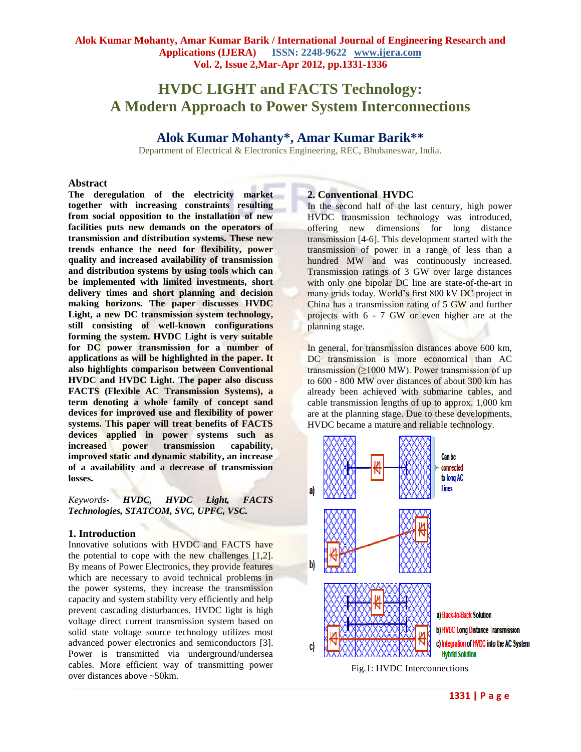# **HVDC LIGHT and FACTS Technology: A Modern Approach to Power System Interconnections**

## **Alok Kumar Mohanty\*, Amar Kumar Barik\*\***

Department of Electrical & Electronics Engineering, REC, Bhubaneswar, India.

#### **Abstract**

**The deregulation of the electricity market together with increasing constraints resulting from social opposition to the installation of new facilities puts new demands on the operators of transmission and distribution systems. These new trends enhance the need for flexibility, power quality and increased availability of transmission and distribution systems by using tools which can be implemented with limited investments, short delivery times and short planning and decision making horizons. The paper discusses HVDC Light, a new DC transmission system technology, still consisting of well-known configurations forming the system. HVDC Light is very suitable for DC power transmission for a number of applications as will be highlighted in the paper. It also highlights comparison between Conventional HVDC and HVDC Light. The paper also discuss FACTS (Flexible AC Transmission Systems), a term denoting a whole family of concept sand devices for improved use and flexibility of power systems. This paper will treat benefits of FACTS devices applied in power systems such as increased power transmission capability, improved static and dynamic stability, an increase of a availability and a decrease of transmission losses.**

*Keywords*- *HVDC, HVDC Light, FACTS Technologies, STATCOM, SVC, UPFC, VSC.*

## **1. Introduction**

Innovative solutions with HVDC and FACTS have the potential to cope with the new challenges [1,2]. By means of Power Electronics, they provide features which are necessary to avoid technical problems in the power systems, they increase the transmission capacity and system stability very efficiently and help prevent cascading disturbances. HVDC light is high voltage direct current transmission system based on solid state voltage source technology utilizes most advanced power electronics and semiconductors [3]. Power is transmitted via underground/undersea cables. More efficient way of transmitting power over distances above ~50km.

## **2. Conventional HVDC**

In the second half of the last century, high power HVDC transmission technology was introduced, offering new dimensions for long distance transmission [4-6]. This development started with the transmission of power in a range of less than a hundred MW and was continuously increased. Transmission ratings of 3 GW over large distances with only one bipolar DC line are state-of-the-art in many grids today. World's first 800 kV DC project in China has a transmission rating of 5 GW and further projects with 6 - 7 GW or even higher are at the planning stage.

In general, for transmission distances above 600 km, DC transmission is more economical than AC transmission  $(≥1000 \text{ MW})$ . Power transmission of up to 600 - 800 MW over distances of about 300 km has already been achieved with submarine cables, and cable transmission lengths of up to approx. 1,000 km are at the planning stage. Due to these developments, HVDC became a mature and reliable technology.



Fig.1: HVDC Interconnections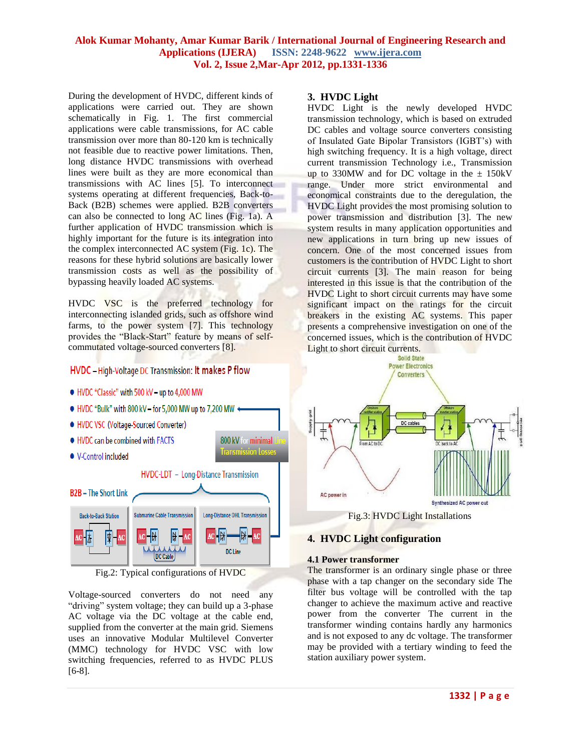During the development of HVDC, different kinds of applications were carried out. They are shown schematically in Fig. 1. The first commercial applications were cable transmissions, for AC cable transmission over more than 80-120 km is technically not feasible due to reactive power limitations. Then, long distance HVDC transmissions with overhead lines were built as they are more economical than transmissions with AC lines [5]. To interconnect systems operating at different frequencies, Back-to-Back (B2B) schemes were applied. B2B converters can also be connected to long AC lines (Fig. 1a). A further application of HVDC transmission which is highly important for the future is its integration into the complex interconnected AC system (Fig. 1c). The reasons for these hybrid solutions are basically lower transmission costs as well as the possibility of bypassing heavily loaded AC systems.

HVDC VSC is the preferred technology for interconnecting islanded grids, such as offshore wind farms, to the power system [7]. This technology provides the "Black-Start" feature by means of selfcommutated voltage-sourced converters [8].

## **HVDC** - High-Voltage DC Transmission: It makes P flow

- . HVDC "Classic" with 500 kV up to 4,000 MW
- $\bullet$  HVDC "Bulk" with 800 kV for 5.000 MW up to 7.200 MW  $\bullet$
- . HVDC VSC (Voltage-Sourced Converter)
- . HVDC can be combined with FACTS
- V-Control included

## HVDC-LDT - Long-Distance Transmission

800 kV for minimal **Transmission Losses** 



Fig.2: Typical configurations of HVDC

Voltage-sourced converters do not need any "driving" system voltage; they can build up a 3-phase AC voltage via the DC voltage at the cable end, supplied from the converter at the main grid. Siemens uses an innovative Modular Multilevel Converter (MMC) technology for HVDC VSC with low switching frequencies, referred to as HVDC PLUS [6-8].

#### **3. HVDC Light**

HVDC Light is the newly developed HVDC transmission technology, which is based on extruded DC cables and voltage source converters consisting of Insulated Gate Bipolar Transistors (IGBT's) with high switching frequency. It is a high voltage, direct current transmission Technology i.e., Transmission up to 330MW and for DC voltage in the  $\pm$  150kV range. Under more strict environmental and economical constraints due to the deregulation, the HVDC Light provides the most promising solution to power transmission and distribution [3]. The new system results in many application opportunities and new applications in turn bring up new issues of concern. One of the most concerned issues from customers is the contribution of HVDC Light to short circuit currents [3]. The main reason for being interested in this issue is that the contribution of the HVDC Light to short circuit currents may have some significant impact on the ratings for the circuit breakers in the existing AC systems. This paper presents a comprehensive investigation on one of the concerned issues, which is the contribution of HVDC Light to short circuit currents.



## **4. HVDC Light configuration**

## **4.1 Power transformer**

The transformer is an ordinary single phase or three phase with a tap changer on the secondary side The filter bus voltage will be controlled with the tap changer to achieve the maximum active and reactive power from the converter The current in the transformer winding contains hardly any harmonics and is not exposed to any dc voltage. The transformer may be provided with a tertiary winding to feed the station auxiliary power system.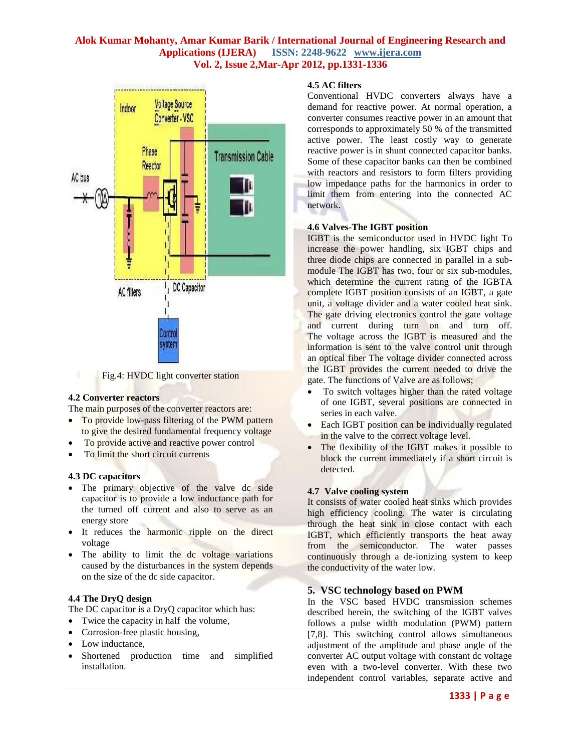



## **4.2 Converter reactors**

The main purposes of the converter reactors are:

- To provide low-pass filtering of the PWM pattern to give the desired fundamental frequency voltage
- To provide active and reactive power control
- To limit the short circuit currents

## **4.3 DC capacitors**

- The primary objective of the valve dc side capacitor is to provide a low inductance path for the turned off current and also to serve as an energy store
- It reduces the harmonic ripple on the direct voltage
- The ability to limit the dc voltage variations caused by the disturbances in the system depends on the size of the dc side capacitor.

## **4.4 The DryQ design**

The DC capacitor is a DryQ capacitor which has:

- Twice the capacity in half the volume,
- Corrosion-free plastic housing,
- Low inductance,
- Shortened production time and simplified installation.

## **4.5 AC filters**

Conventional HVDC converters always have a demand for reactive power. At normal operation, a converter consumes reactive power in an amount that corresponds to approximately 50 % of the transmitted active power. The least costly way to generate reactive power is in shunt connected capacitor banks. Some of these capacitor banks can then be combined with reactors and resistors to form filters providing low impedance paths for the [harmonics](http://www04.abb.com/global/gad/gad02007.nsf/Images/0874E5CF6CEF3B80C1257472003F7D94/$File/AC_side_harmonics_609x328.jpg) in order to limit them from entering into the connected AC network.

## **4.6 Valves-The IGBT position**

IGBT is the semiconductor used in HVDC light To increase the power handling, six IGBT chips and three diode chips are connected in parallel in a submodule The IGBT has two, four or six sub-modules, which determine the current rating of the IGBTA complete IGBT position consists of an IGBT, a gate unit, a voltage divider and a water cooled heat sink. The gate driving electronics control the gate voltage and current during turn on and turn off. The voltage across the IGBT is measured and the information is sent to the valve control unit through an optical fiber The voltage divider connected across the IGBT provides the current needed to drive the gate. The functions of Valve are as follows;

- To switch voltages higher than the rated voltage of one IGBT, several positions are connected in series in each valve.
- Each IGBT position can be individually regulated in the valve to the correct voltage level.
- The flexibility of the IGBT makes it possible to block the current immediately if a short circuit is detected.

## **4.7 Valve cooling system**

It consists of water cooled heat sinks which provides high efficiency cooling. The water is circulating through the heat sink in close contact with each IGBT, which efficiently transports the heat away from the semiconductor. The water passes continuously through a de-ionizing system to keep the conductivity of the water low.

## **5. VSC technology based on PWM**

In the VSC based HVDC transmission schemes described herein, the switching of the IGBT valves follows a pulse width modulation (PWM) pattern [7,8]. This switching control allows simultaneous adjustment of the amplitude and phase angle of the converter AC output voltage with constant dc voltage even with a two-level converter. With these two independent control variables, separate active and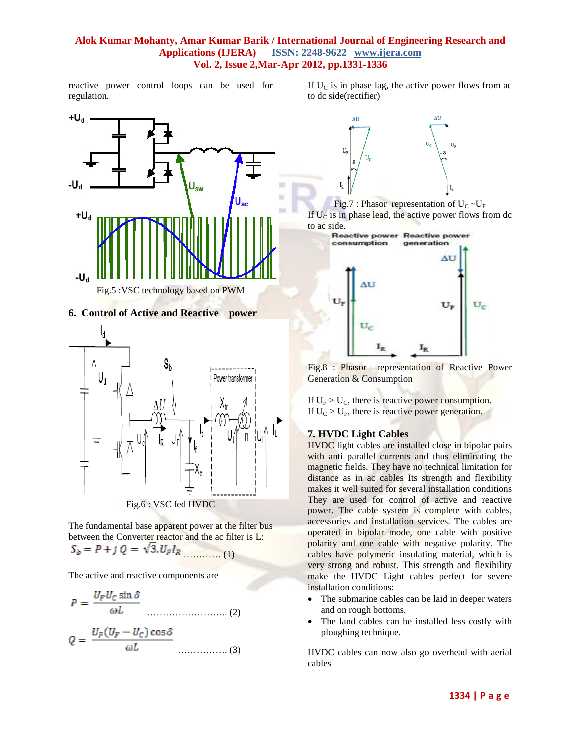reactive power control loops can be used for regulation.





The fundamental base apparent power at the filter bus between the Converter reactor and the ac filter is L:  $S_b = P + j Q = \sqrt{3} J_F I_R$  (1)

The active and reactive components are

$$
P = \frac{U_F U_C \sin \delta}{\omega L}
$$
 (2)

$$
Q = \frac{U_F (U_F - U_C) \cos \delta}{\omega L}
$$
 (3)

If  $U_{\rm C}$  is in phase lag, the active power flows from ac to dc side(rectifier)







Fig.8 : Phasor representation of Reactive Power Generation & Consumption

If  $U_F > U_C$ , there is reactive power consumption. If  $U_C > U_F$ , there is reactive power generation.

## **7. HVDC Light Cables**

HVDC light cables are installed close in bipolar pairs with anti parallel currents and thus eliminating the magnetic fields. They have no technical limitation for distance as in ac cables Its strength and flexibility makes it well suited for several installation conditions They are used for control of active and reactive power. The cable system is complete with cables, accessories and installation services. The cables are operated in bipolar mode, one cable with positive polarity and one cable with negative polarity. The cables have polymeric insulating material, which is very strong and robust. This strength and flexibility make the HVDC Light cables perfect for severe installation conditions:

- The submarine cables can be laid in deeper waters and on rough bottoms.
- The land cables can be installed less costly with ploughing technique.

HVDC cables can now also go overhead with aerial cables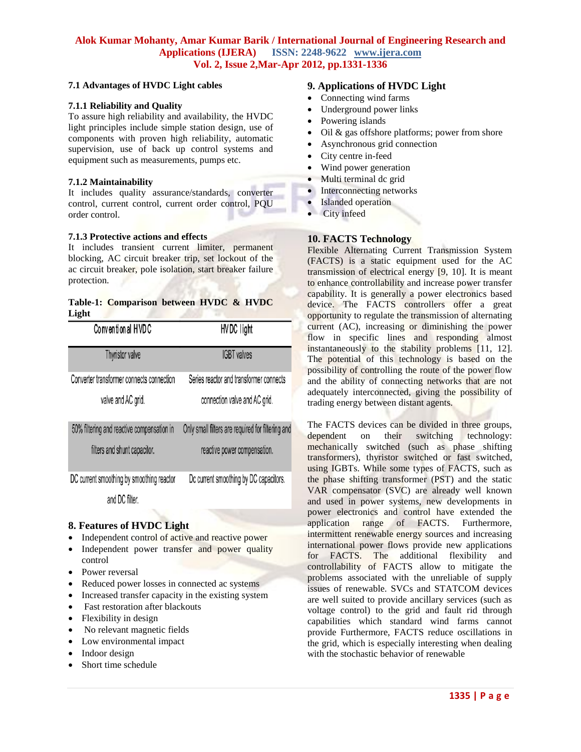#### **7.1 Advantages of HVDC Light cables**

#### **7.1.1 Reliability and Quality**

To assure high reliability and availability, the HVDC light principles include simple station design, use of components with proven high reliability, automatic supervision, use of back up control systems and equipment such as measurements, pumps etc.

#### **7.1.2 Maintainability**

It includes quality assurance/standards, converter control, current control, current order control, PQU order control.

#### **7.1.3 Protective actions and effects**

It includes transient current limiter, permanent blocking, AC circuit breaker trip, set lockout of the ac circuit breaker, pole isolation, start breaker failure protection.

## **Table-1: Comparison between HVDC & HVDC Light**

| Conventional HVDC                          | HVDC light                                        |
|--------------------------------------------|---------------------------------------------------|
| Thyristor valve                            | <b>IGBT</b> valves                                |
| Converter transformer connects connection  | Series reactor and transformer connects           |
| valve and AC grid.                         | connection valve and AC grid.                     |
| 50% filtering and reactive compensation in | Only small filters are required for filtering and |
| filters and shunt capacitor.               | reactive power compensation.                      |
| DC current smoothing by smoothing reactor  | Dc current smoothing by DC capacitors.            |
| and DC filter.                             |                                                   |

## **8. Features of HVDC Light**

- Independent control of active and reactive power
- Independent power transfer and power quality control
- Power reversal
- Reduced power losses in connected ac systems
- Increased transfer capacity in the existing system
- Fast restoration after blackouts
- Flexibility in design
- No relevant magnetic fields
- Low environmental impact
- Indoor design
- Short time schedule

## **9. Applications of HVDC Light**

- Connecting wind farms
- Underground power links
- Powering islands
- Oil & gas offshore platforms; power from shore
- Asynchronous grid connection
- City centre in-feed
- Wind power generation
- Multi terminal dc grid
- Interconnecting networks
- Islanded operation
- City infeed

## **10. FACTS Technology**

Flexible Alternating Current Transmission System (FACTS) is a static equipment used for the AC transmission of electrical energy [9, 10]. It is meant to enhance controllability and increase power transfer capability. It is generally a power electronics based device. The FACTS controllers offer a great opportunity to regulate the transmission of alternating current (AC), increasing or diminishing the power flow in specific lines and responding almost instantaneously to the stability problems [11, 12]. The potential of this technology is based on the possibility of controlling the route of the power flow and the ability of connecting networks that are not adequately interconnected, giving the possibility of trading energy between distant agents.

The FACTS devices can be divided in three groups, dependent on their switching technology: mechanically switched (such as phase shifting transformers), thyristor switched or fast switched, using IGBTs. While some types of FACTS, such as the phase shifting transformer (PST) and the static VAR compensator (SVC) are already well known and used in power systems, new developments in power electronics and control have extended the application range of FACTS. Furthermore, intermittent renewable energy sources and increasing international power flows provide new applications for FACTS. The additional flexibility and controllability of FACTS allow to mitigate the problems associated with the unreliable of supply issues of renewable. SVCs and STATCOM devices are well suited to provide ancillary services (such as voltage control) to the grid and fault rid through capabilities which standard wind farms cannot provide Furthermore, FACTS reduce oscillations in the grid, which is especially interesting when dealing with the stochastic behavior of renewable